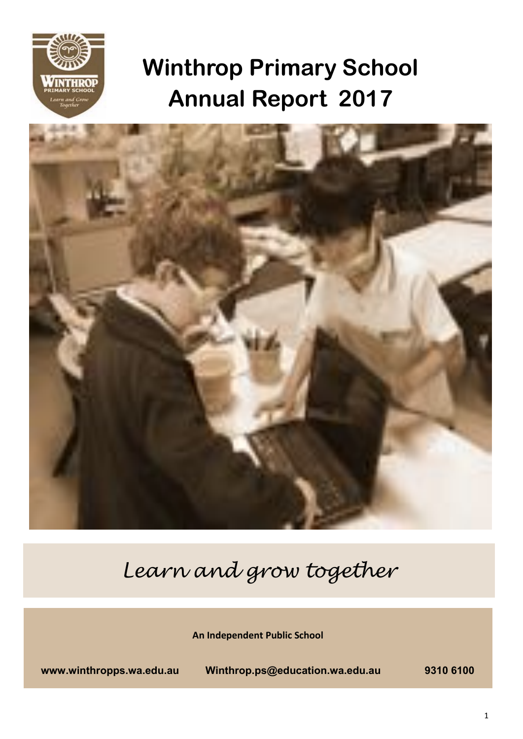

# **Winthrop Primary School Annual Report 2017**



*Learn and grow together* 

**An Independent Public School** 

**www.winthropps.wa.edu.au Winthrop.ps@education.wa.edu.au 9310 6100**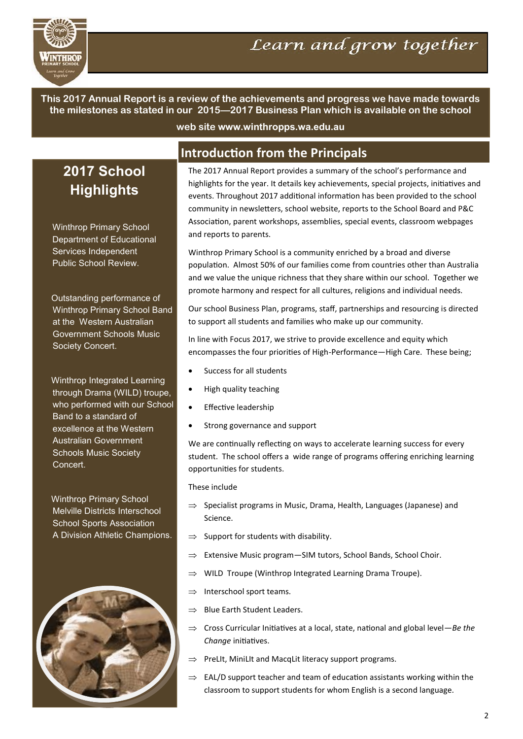

**This 2017 Annual Report is a review of the achievements and progress we have made towards the milestones as stated in our 2015—2017 Business Plan which is available on the school** 

**web site www.winthropps.wa.edu.au**

## **2017 School Highlights**

Winthrop Primary School Department of Educational Services Independent Public School Review.

Outstanding performance of Winthrop Primary School Band at the Western Australian Government Schools Music Society Concert.

Winthrop Integrated Learning through Drama (WILD) troupe, who performed with our School Band to a standard of excellence at the Western Australian Government Schools Music Society Concert.

Winthrop Primary School Melville Districts Interschool School Sports Association A Division Athletic Champions.



## **Introduction from the Principals**

The 2017 Annual Report provides a summary of the school's performance and highlights for the year. It details key achievements, special projects, initiatives and events. Throughout 2017 additional information has been provided to the school community in newsletters, school website, reports to the School Board and P&C Association, parent workshops, assemblies, special events, classroom webpages and reports to parents.

Winthrop Primary School is a community enriched by a broad and diverse population. Almost 50% of our families come from countries other than Australia and we value the unique richness that they share within our school. Together we promote harmony and respect for all cultures, religions and individual needs.

Our school Business Plan, programs, staff, partnerships and resourcing is directed to support all students and families who make up our community.

In line with Focus 2017, we strive to provide excellence and equity which encompasses the four priorites of High-Performance—High Care. These being;

- Success for all students
- High quality teaching
- Effective leadership
- Strong governance and support

We are continually reflecting on ways to accelerate learning success for every student. The school offers a wide range of programs offering enriching learning opportunites for students.

#### These include

- $\Rightarrow$  Specialist programs in Music, Drama, Health, Languages (Japanese) and Science.
- $\Rightarrow$  Support for students with disability.
- $\Rightarrow$  Extensive Music program SIM tutors, School Bands, School Choir.
- $\Rightarrow$  WILD Troupe (Winthrop Integrated Learning Drama Troupe).
- $\Rightarrow$  Interschool sport teams.
- $\Rightarrow$  Blue Earth Student Leaders.
- $\Rightarrow$  Cross Curricular Initiatives at a local, state, national and global level—*Be the Change* initiatives.
- $\Rightarrow$  PreLIt, MiniLIt and MacqLit literacy support programs.
- $\Rightarrow$  EAL/D support teacher and team of education assistants working within the classroom to support students for whom English is a second language.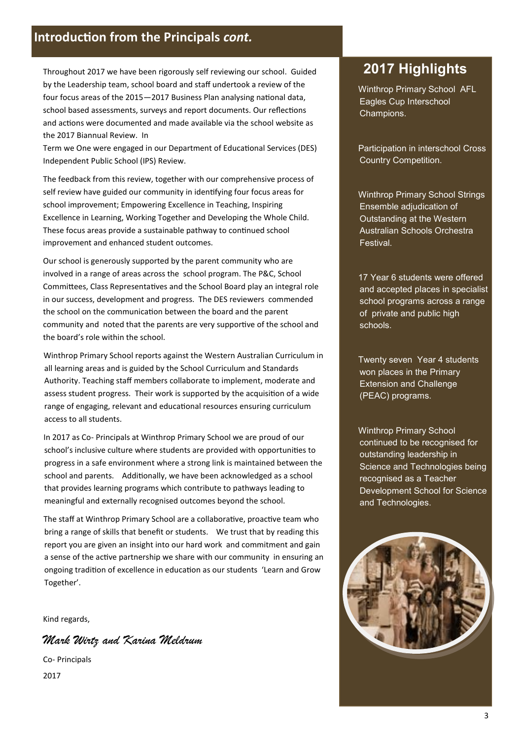## **Introduction from the Principals** *cont.*

Throughout 2017 we have been rigorously self reviewing our school. Guided by the Leadership team, school board and staff undertook a review of the four focus areas of the 2015-2017 Business Plan analysing national data, school based assessments, surveys and report documents. Our reflections and actions were documented and made available via the school website as the 2017 Biannual Review. In

Term we One were engaged in our Department of Educational Services (DES) Independent Public School (IPS) Review.

The feedback from this review, together with our comprehensive process of self review have guided our community in identfying four focus areas for school improvement; Empowering Excellence in Teaching, Inspiring Excellence in Learning, Working Together and Developing the Whole Child. These focus areas provide a sustainable pathway to continued school improvement and enhanced student outcomes.

Our school is generously supported by the parent community who are involved in a range of areas across the school program. The P&C, School Commitees, Class Representatves and the School Board play an integral role in our success, development and progress. The DES reviewers commended the school on the communication between the board and the parent community and noted that the parents are very supportive of the school and the board's role within the school.

Winthrop Primary School reports against the Western Australian Curriculum in all learning areas and is guided by the School Curriculum and Standards Authority. Teaching staff members collaborate to implement, moderate and assess student progress. Their work is supported by the acquisiton of a wide range of engaging, relevant and educational resources ensuring curriculum access to all students.

In 2017 as Co- Principals at Winthrop Primary School we are proud of our school's inclusive culture where students are provided with opportunites to progress in a safe environment where a strong link is maintained between the school and parents. Additonally, we have been acknowledged as a school that provides learning programs which contribute to pathways leading to meaningful and externally recognised outcomes beyond the school.

The staff at Winthrop Primary School are a collaborative, proactive team who bring a range of skills that beneft or students. We trust that by reading this report you are given an insight into our hard work and commitment and gain a sense of the active partnership we share with our community in ensuring an ongoing tradition of excellence in education as our students 'Learn and Grow Together'.

Kind regards,

Mark Wirtz and Karina Meldrum

Co- Principals 2017

## **2017 Highlights**

Winthrop Primary School AFL Eagles Cup Interschool Champions.

Participation in interschool Cross Country Competition.

Winthrop Primary School Strings Ensemble adjudication of Outstanding at the Western Australian Schools Orchestra Festival.

17 Year 6 students were offered and accepted places in specialist school programs across a range of private and public high schools.

Twenty seven Year 4 students won places in the Primary Extension and Challenge (PEAC) programs.

Winthrop Primary School continued to be recognised for outstanding leadership in Science and Technologies being recognised as a Teacher Development School for Science and Technologies.

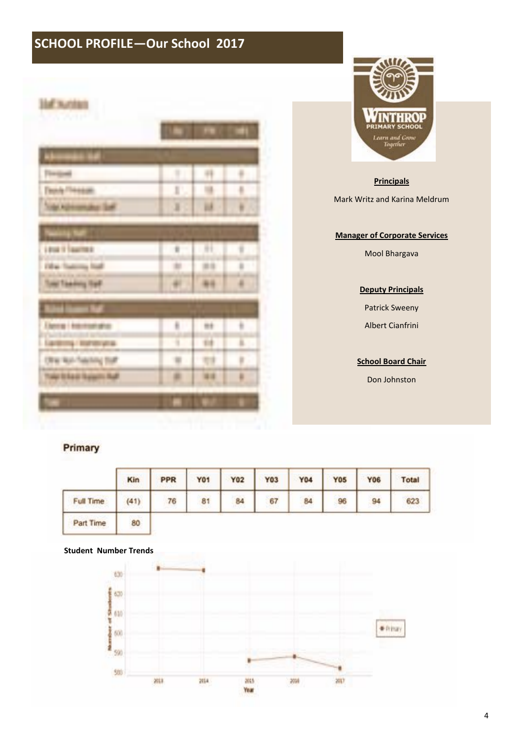## **SCHOOL PROFILE—Our School 2017**

| राण्याम<br>t            |                                  |   |   |
|-------------------------|----------------------------------|---|---|
|                         |                                  |   |   |
|                         |                                  |   |   |
|                         |                                  |   |   |
|                         | I<br>$\color{red} \blacklozenge$ |   |   |
| ×                       | X                                | ă |   |
| ш                       |                                  |   |   |
| LEGALE TANKING          |                                  | Π |   |
| Fill as<br>$\sim$ $100$ |                                  |   | ł |
| Total Teaching Far?     | Ħ                                |   | ¥ |
|                         |                                  |   |   |
| mit                     | ä                                |   | è |
| <b>STATISTICS</b>       | ī                                |   | ī |
|                         | m                                |   | ī |
| Talp to Last Taxe       | ä                                | m | ï |
|                         |                                  |   |   |



#### **Principals**

Mark Writz and Karina Meldrum

#### **Manager of Corporate Services**

Mool Bhargava

#### **Deputy Principals**

Patrick Sweeny

Albert Cianfrini

#### **School Board Chair**

Don Johnston

### Primary

|                  | Kin  | <b>FRANCH GENER</b><br>PPR | <b>SALES AND REAL PROPERTY</b><br><b>Y01</b> | <b>AND AND THE</b><br><b>Y02</b> | personal country and the<br>Y03 | <b>Y04</b> | <b>Y05</b>           | <b>Y06</b> | <b>Total</b> |
|------------------|------|----------------------------|----------------------------------------------|----------------------------------|---------------------------------|------------|----------------------|------------|--------------|
| <b>Full Time</b> | (41) | 76                         | 81                                           | 84                               | 67                              | 84         | <b>ANG ANG</b><br>96 | 94         | 623          |
| Part Time        | 80   |                            |                                              |                                  |                                 |            |                      |            |              |

#### **Student Number Trends**

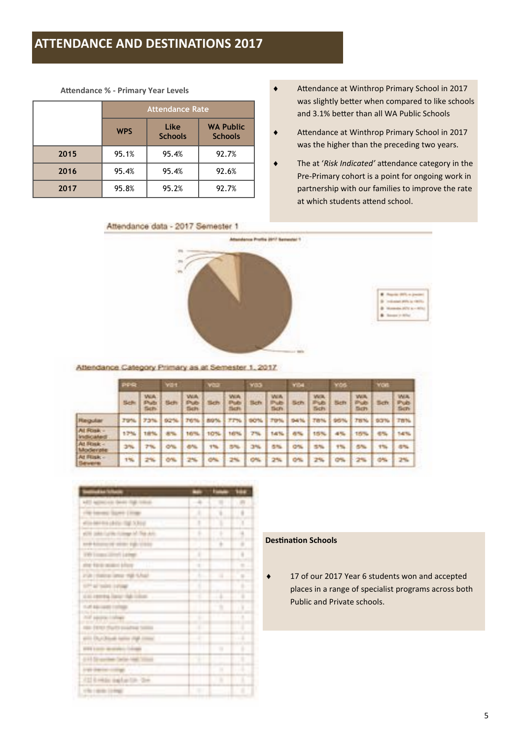## **ATTENDANCE AND DESTINATIONS 2017**

**Atendance % - Primary Year Levels**

|      |            | <b>Attendance Rate</b> |                                    |
|------|------------|------------------------|------------------------------------|
|      | <b>WPS</b> | Like<br><b>Schools</b> | <b>WA Public</b><br><b>Schools</b> |
| 2015 | 95.1%      | 95.4%                  | 92.7%                              |
| 2016 | 95.4%      | 95.4%                  | 92.6%                              |
| 2017 | 95.8%      | 95.2%                  | 92.7%                              |

- i Atendance at Winthrop Primary School in 2017 was slightly better when compared to like schools and 3.1% beter than all WA Public Schools
- Attendance at Winthrop Primary School in 2017 was the higher than the preceding two years.
- The at '*Risk Indicated'* attendance category in the Pre-Primary cohort is a point for ongoing work in partnership with our families to improve the rate at which students attend school.



Attendance Category Primary as at Semester 1, 2017.

|                             | <b>SPIRE</b> |                           | <b>VOT</b><br><b>WED</b> |                            | <b>YEA</b><br><b>YOS</b> |                             |                |                            | <b>Von</b>     |                     |      |                    |            |                            |
|-----------------------------|--------------|---------------------------|--------------------------|----------------------------|--------------------------|-----------------------------|----------------|----------------------------|----------------|---------------------|------|--------------------|------------|----------------------------|
|                             | <b>Sub</b>   | <b>WA</b><br>Publ<br>Sch. | <b>Sich</b>              | <b>WA</b><br>Pub-<br>Sich. |                          | With<br>Pub<br><b>Ticht</b> | Sch            | <b>WIR</b><br>Pub<br>Sich. | 5ch            | WA.<br>Pub<br>Sich. | Sch. | WA.<br>Pub<br>Sch- | <b>Sch</b> | WA.<br>Pub-<br><b>Sch-</b> |
| Regular                     | 79%          | 73%                       | 92.74                    | TO'N                       | <b>BIG</b> %             | 7.7%                        | <b>SKOTTIN</b> |                            | 5476           | Tв                  | ×.   | TBN-               | 93%        | 言言帖                        |
| At Rosk =<br>Institutated   | 17%          | 18%                       |                          | 10%                        | 10%                      | 167%                        | 7%             | 14%                        | an.            | 15%                 | 4%   | 15%                | 1979       | THE TILL                   |
| At Rock -<br>Moderate       | 3%           | 7%                        | on.                      | 8%                         | <b>The</b>               | 5%                          | 3%             | 5%                         | $-1000$<br>on. | 5%                  | 1%   | 5%                 | $1 - 1$    | 各%                         |
| At Flink -<br><b>Severe</b> | 1%           |                           | <b>O'N</b>               |                            | o.                       | 2%                          | CAL            | 2%                         | 5%             |                     |      |                    |            | 2%                         |

|                                            |        | tu |    |
|--------------------------------------------|--------|----|----|
|                                            | ۹      |    |    |
| <b>Limited</b><br>um                       | ī      | į  |    |
| <b>N.Boxe</b>                              | ŧ      | ī  | ï  |
| all five skills                            | Ŧ      | ī  | ï  |
| <b>TANK</b><br><b>under</b><br>rate creaty |        | ٠  | ë  |
| Leiner<br><b>STREET</b>                    | ı      |    | ä  |
| me to a sea<br>--                          | $\sim$ |    | ×  |
| ra p<br>mit futur                          | Ŧ      | ٠  | ٠  |
| <b>SUPPLIER SHOPS</b><br><b>HTML</b>       | ı      |    | s  |
| cal rental law 44 like.                    | x      |    |    |
| 1.25.88                                    |        | ۰  | ¥  |
| 禁用版                                        | ٠      |    |    |
| $100 - 11$                                 |        |    |    |
| anto Distribut                             | - 1    |    | хā |
| <b>STEEL</b>                               |        | ٠  | ۱  |
| 944.54                                     | ٠      |    |    |
| en om                                      |        | ×  | ı  |
| <b>A12 B HAGs</b><br>á6<br>$+18 - 2 +$     |        | ٠  | ī  |
| the name in map.                           |        | ۰  | ı  |

#### **Destination Schools**

◆ 17 of our 2017 Year 6 students won and accepted places in a range of specialist programs across both Public and Private schools.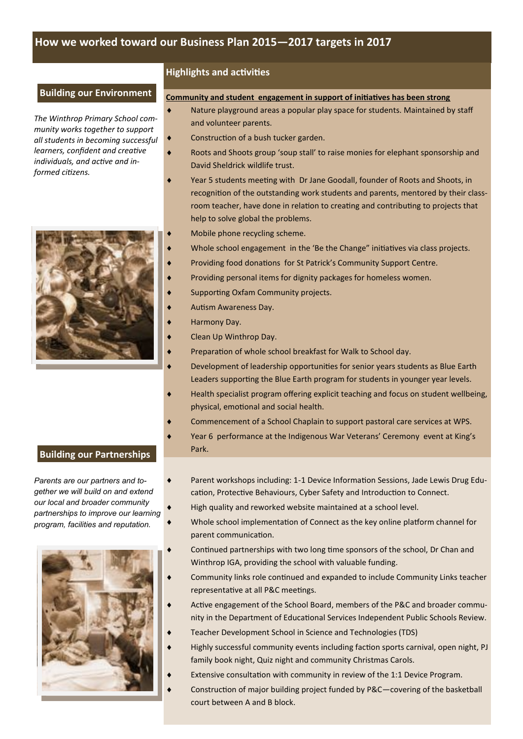#### **Building our Environment**

*The Winthrop Primary School community works together to support all students in becoming successful learners, confdent and creatve*  individuals, and active and in*formed citzens.* 



#### **Highlights and activities**

#### **Community and student engagement in support of initiatives has been strong**

- Nature playground areas a popular play space for students. Maintained by staff and volunteer parents.
- $\bullet$  Construction of a bush tucker garden.
	- i Roots and Shoots group 'soup stall' to raise monies for elephant sponsorship and David Sheldrick wildlife trust.
	- Year 5 students meeting with Dr Jane Goodall, founder of Roots and Shoots, in recognition of the outstanding work students and parents, mentored by their classroom teacher, have done in relation to creating and contributing to projects that help to solve global the problems.
		- Mobile phone recycling scheme.
		- Whole school engagement in the 'Be the Change" initiatives via class projects.
		- Providing food donations for St Patrick's Community Support Centre.
	- Providing personal items for dignity packages for homeless women.
	- Supporting Oxfam Community projects.
	- Autism Awareness Day.
	- Harmony Day.
	- Clean Up Winthrop Day.
	- Preparation of whole school breakfast for Walk to School day.
	- Development of leadership opportunities for senior years students as Blue Earth Leaders supporting the Blue Earth program for students in younger year levels.
	- Health specialist program offering explicit teaching and focus on student wellbeing, physical, emotional and social health.
	- Commencement of a School Chaplain to support pastoral care services at WPS.
	- Year 6 performance at the Indigenous War Veterans' Ceremony event at King's Park.

#### **Building our Partnerships**

*Parents are our partners and together we will build on and extend our local and broader community partnerships to improve our learning program, facilities and reputation.* 



- ◆ Parent workshops including: 1-1 Device Information Sessions, Jade Lewis Drug Education, Protective Behaviours, Cyber Safety and Introduction to Connect.
	- High quality and reworked website maintained at a school level.
	- Whole school implementation of Connect as the key online platform channel for parent communication.
	- Continued partnerships with two long time sponsors of the school, Dr Chan and Winthrop IGA, providing the school with valuable funding.
	- Community links role continued and expanded to include Community Links teacher representative at all P&C meetings.
	- Active engagement of the School Board, members of the P&C and broader community in the Department of Educational Services Independent Public Schools Review.
	- Teacher Development School in Science and Technologies (TDS)
	- Highly successful community events including faction sports carnival, open night, PJ family book night, Quiz night and community Christmas Carols.
	- Extensive consultation with community in review of the 1:1 Device Program.
	- Construction of major building project funded by P&C—covering of the basketball court between A and B block.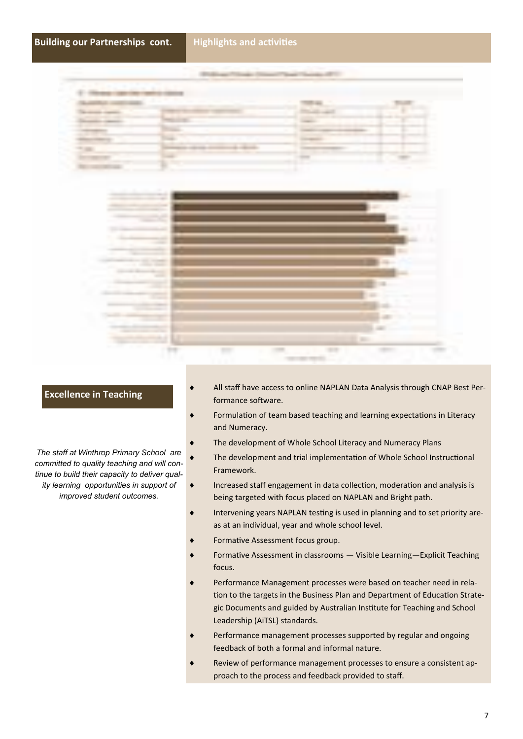



#### **Excellence in Teaching**

*The staff at Winthrop Primary School are committed to quality teaching and will continue to build their capacity to deliver qual-*

*ity learning opportunities in support of improved student outcomes.* 

- All staff have access to online NAPLAN Data Analysis through CNAP Best Performance software.
- Formulation of team based teaching and learning expectations in Literacy and Numeracy.
- The development of Whole School Literacy and Numeracy Plans
- The development and trial implementation of Whole School Instructional Framework.
- Increased staff engagement in data collection, moderation and analysis is being targeted with focus placed on NAPLAN and Bright path.
- $\bullet$  Intervening years NAPLAN testing is used in planning and to set priority areas at an individual, year and whole school level.
- Formative Assessment focus group.
- Formative Assessment in classrooms Visible Learning-Explicit Teaching focus.
- Performance Management processes were based on teacher need in relation to the targets in the Business Plan and Department of Education Strategic Documents and guided by Australian Insttute for Teaching and School Leadership (AiTSL) standards.
- Performance management processes supported by regular and ongoing feedback of both a formal and informal nature.
- Review of performance management processes to ensure a consistent approach to the process and feedback provided to staf.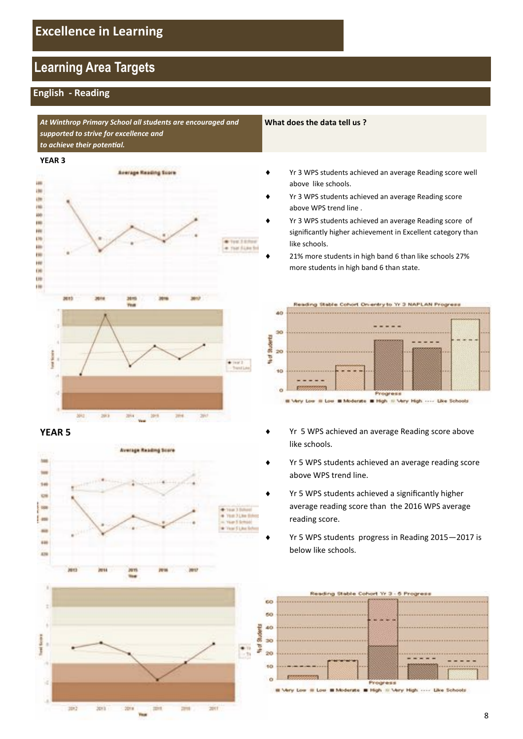## **Learning Area Targets**

### **English - Reading**

*At Winthrop Primary School all students are encouraged and supported to strive for excellence and to achieve their potental.* 

#### **YEAR 3**







**SOF** 

**State** 

**Hita** 

**TERR** 



**SHI** 

**SHI** 

#### **What does the data tell us ?**

- Yr 3 WPS students achieved an average Reading score well above like schools.
- Yr 3 WPS students achieved an average Reading score above WPS trend line .
- Yr 3 WPS students achieved an average Reading score of signifcantly higher achievement in Excellent category than like schools.
- 21% more students in high band 6 than like schools 27% more students in high band 6 than state.



High III Very High Like Schools

- **YEAR 5 in YEAR 5 in YEAR 5 in Year 2012 in Year 3 in Year 3 in Year 3 in Year 3 in Year 3 in Year 3 in Year 3 in Year 3 in Year 3 in Year 3 in Year 3 in Year 3 in Year 3 in Year 3 in Y** like schools.
	- Yr 5 WPS students achieved an average reading score above WPS trend line.
	- Yr 5 WPS students achieved a significantly higher average reading score than the 2016 WPS average reading score.
	- Yr 5 WPS students progress in Reading 2015-2017 is below like schools.



Low III Low III Moderate III High III Very High .... Like Scho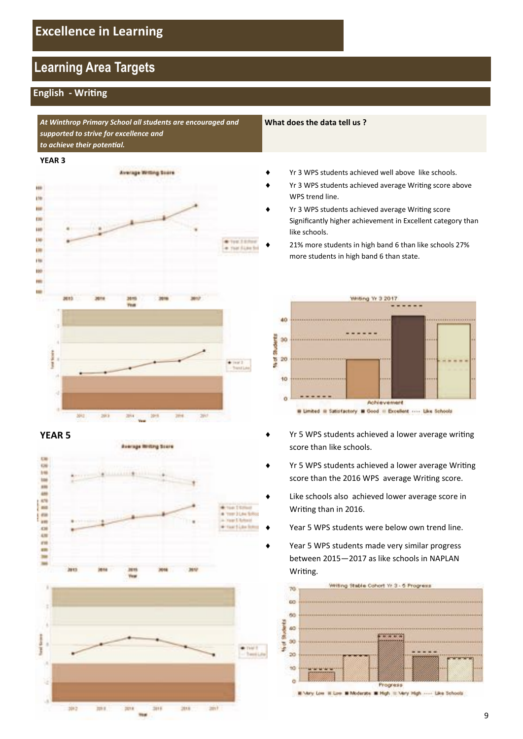## **Learning Area Targets**

### **English - Writng**

*At Winthrop Primary School all students are encouraged and supported to strive for excellence and to achieve their potental.* 

#### **YEAR 3**







w.

#### **What does the data tell us ?**

- Yr 3 WPS students achieved well above like schools.
- Yr 3 WPS students achieved average Writing score above WPS trend line.
- Yr 3 WPS students achieved average Writing score Signifcantly higher achievement in Excellent category than like schools.
	- 21% more students in high band 6 than like schools 27% more students in high band 6 than state.



- **YEAR 5 i** Yr 5 WPS students achieved a lower average writing score than like schools.
	- Yr 5 WPS students achieved a lower average Writing score than the 2016 WPS average Writing score.
	- Like schools also achieved lower average score in Writng than in 2016.
	- Year 5 WPS students were below own trend line.
	- Year 5 WPS students made very similar progress between 2015—2017 as like schools in NAPLAN Writing.

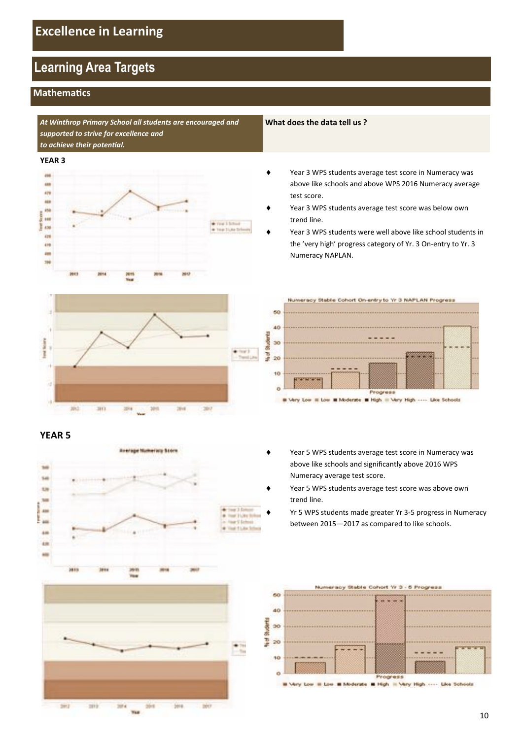## **Learning Area Targets**

#### **Mathematics**

*At Winthrop Primary School all students are encouraged and supported to strive for excellence and to achieve their potental.* 

#### **YEAR 3**





#### **YEAR 5**



**What does the data tell us ?**

- Year 3 WPS students average test score in Numeracy was above like schools and above WPS 2016 Numeracy average test score.
- Year 3 WPS students average test score was below own trend line.
- Year 3 WPS students were well above like school students in the 'very high' progress category of Yr. 3 On-entry to Yr. 3 Numeracy NAPLAN.



- Year 5 WPS students average test score in Numeracy was above like schools and signifcantly above 2016 WPS
- Year 5 WPS students average test score was above own trend line.

Numeracy average test score.

Yr 5 WPS students made greater Yr 3-5 progress in Numeracy between 2015—2017 as compared to like schools.

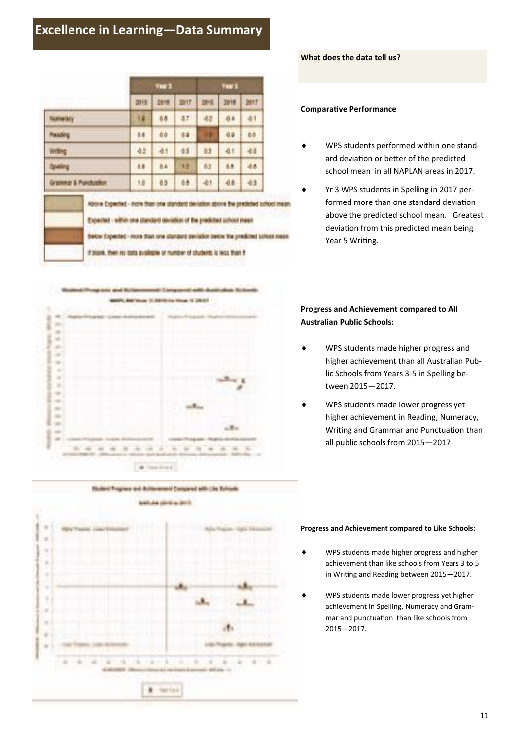## **Excellence in Learning—Data Summary**

|                                                                    |    |             | <b>Year 3</b> |     |            | <b>THE S</b> |          |  |
|--------------------------------------------------------------------|----|-------------|---------------|-----|------------|--------------|----------|--|
|                                                                    |    | <b>D019</b> | 图传            | 助け  | <b>M16</b> | 助博           | MIT      |  |
| Numeracy                                                           | 14 | 0.0         | 07            | 42  | 0.6        | 41           |          |  |
| <b>MAGAR</b><br>Writing<br><b>Speling</b><br>Grammar & Punctustion |    | 0.8         | 00            | 0.0 | ш          | 0.0          | 0.0      |  |
|                                                                    |    | 41          | -0.1          | 45  | 0.5        | 41           | 41       |  |
|                                                                    |    | d.<br>18    | 0.4           | ŧż  | 62         | as:<br>48.   | 46<br>43 |  |
|                                                                    |    |             | 0.3           | üb. | $-0.1$     |              |          |  |



# Sixteed Progress and Autonomere Compared with Line Rohom **BASILIA LEEG & AUTO**



#### **What does the data tell us?**

#### **Comparative Performance**

- ◆ WPS students performed within one standard deviation or better of the predicted school mean in all NAPLAN areas in 2017.
- Yr 3 WPS students in Spelling in 2017 performed more than one standard deviation above the predicted school mean. Greatest deviaton from this predicted mean being Year 5 Writing.

#### **Progress and Achievement compared to All Australian Public Schools:**

- i WPS students made higher progress and higher achievement than all Australian Public Schools from Years 3-5 in Spelling between 2015—2017.
- ◆ WPS students made lower progress yet higher achievement in Reading, Numeracy, Writing and Grammar and Punctuation than all public schools from 2015—2017

#### **Progress and Achievement compared to Like Schools:**

- i WPS students made higher progress and higher achievement than like schools from Years 3 to 5 in Writng and Reading between 2015—2017.
- ◆ WPS students made lower progress yet higher achievement in Spelling, Numeracy and Grammar and punctuation than like schools from 2015—2017.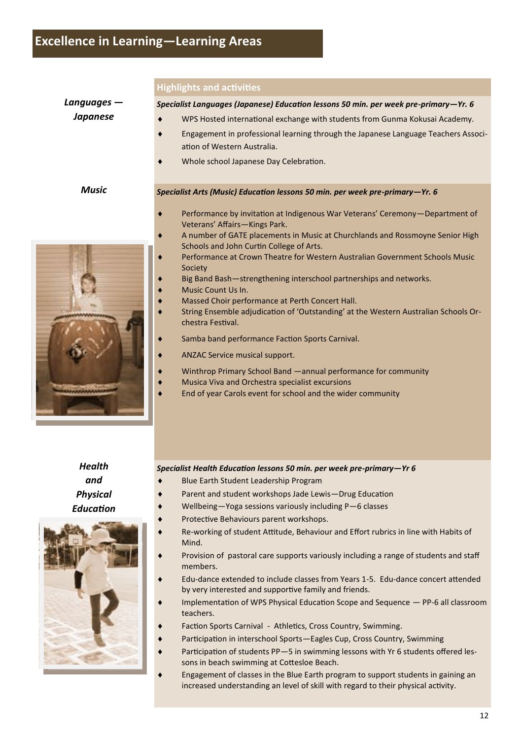|                 | <b>Highlights and activities</b>                                                                                          |
|-----------------|---------------------------------------------------------------------------------------------------------------------------|
| Languages -     | Specialist Languages (Japanese) Education lessons 50 min. per week pre-primary-Yr. 6                                      |
| <b>Japanese</b> | WPS Hosted international exchange with students from Gunma Kokusai Academy.                                               |
|                 | Engagement in professional learning through the Japanese Language Teachers Associ-                                        |
|                 | ation of Western Australia.                                                                                               |
|                 | Whole school Japanese Day Celebration.                                                                                    |
| <b>Music</b>    | Specialist Arts (Music) Education lessons 50 min. per week pre-primary-Yr. 6                                              |
|                 | Performance by invitation at Indigenous War Veterans' Ceremony-Department of<br>Veterans' Affairs-Kings Park.             |
|                 | A number of GATE placements in Music at Churchlands and Rossmoyne Senior High<br>Schools and John Curtin College of Arts. |
|                 | Performance at Crown Theatre for Western Australian Government Schools Music<br>٠<br>Society                              |
|                 | Big Band Bash-strengthening interschool partnerships and networks.<br>Music Count Us In.                                  |
|                 | Massed Choir performance at Perth Concert Hall.                                                                           |
|                 | String Ensemble adjudication of 'Outstanding' at the Western Australian Schools Or-<br>chestra Festival.                  |
|                 | Samba band performance Faction Sports Carnival.                                                                           |
|                 | ANZAC Service musical support.                                                                                            |
|                 | Winthrop Primary School Band - annual performance for community                                                           |
|                 | Musica Viva and Orchestra specialist excursions<br>End of year Carols event for school and the wider community            |
|                 |                                                                                                                           |
|                 |                                                                                                                           |
|                 |                                                                                                                           |
|                 |                                                                                                                           |

*Health and Physical Educaton* 



#### *Specialist Health Educaton lessons 50 min. per week pre-primary—Yr 6*

- i Blue Earth Student Leadership Program
- Parent and student workshops Jade Lewis-Drug Education
- i Wellbeing—Yoga sessions variously including P—6 classes
	- Protective Behaviours parent workshops.
- Re-working of student Attitude, Behaviour and Effort rubrics in line with Habits of Mind.
- Provision of pastoral care supports variously including a range of students and staff members.
- i Edu-dance extended to include classes from Years 1-5. Edu-dance concert atended by very interested and supportive family and friends.
- Implementation of WPS Physical Education Scope and Sequence PP-6 all classroom teachers.
- Faction Sports Carnival Athletics, Cross Country, Swimming.
- Participation in interschool Sports—Eagles Cup, Cross Country, Swimming
- Participation of students PP-5 in swimming lessons with Yr 6 students offered lessons in beach swimming at Cottesloe Beach.
- Engagement of classes in the Blue Earth program to support students in gaining an increased understanding an level of skill with regard to their physical activity.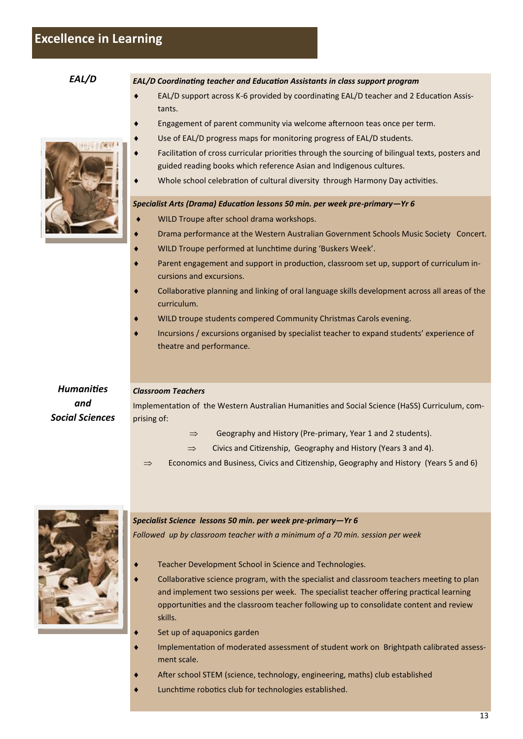*EAL/D EAL/D Coordinatng teacher and Educaton Assistants in class support program* 

- EAL/D support across K-6 provided by coordinating EAL/D teacher and 2 Education Assistants.
- Engagement of parent community via welcome afternoon teas once per term.
- Use of EAL/D progress maps for monitoring progress of EAL/D students.
- Facilitation of cross curricular priorities through the sourcing of bilingual texts, posters and guided reading books which reference Asian and Indigenous cultures.
- Whole school celebration of cultural diversity through Harmony Day activities.

#### *Drama Specialist Arts (Drama) Educaton lessons 50 min. per week pre-primary—Yr 6*

- WILD Troupe after school drama workshops.
- Drama performance at the Western Australian Government Schools Music Society Concert.
- WILD Troupe performed at lunchtime during 'Buskers Week'.
- Parent engagement and support in production, classroom set up, support of curriculum incursions and excursions.
- Collaborative planning and linking of oral language skills development across all areas of the curriculum.
- WILD troupe students compered Community Christmas Carols evening.
- i Incursions / excursions organised by specialist teacher to expand students' experience of theatre and performance.

#### *Humanites Classroom Teachers*

Implementation of the Western Australian Humanities and Social Science (HaSS) Curriculum, comprising of:

- $\Rightarrow$  Geography and History (Pre-primary, Year 1 and 2 students).
- $\Rightarrow$  Civics and Citizenship, Geography and History (Years 3 and 4).
- $\Rightarrow$  Economics and Business, Civics and Citizenship, Geography and History (Years 5 and 6)



*and Social Sciences* 

Teacher Development School in Science and Technologies.

*Followed up by classroom teacher with a minimum of a 70 min. session per week*

*Specialist Science lessons 50 min. per week pre-primary—Yr 6* 

- Collaborative science program, with the specialist and classroom teachers meeting to plan and implement two sessions per week. The specialist teacher offering practical learning opportunites and the classroom teacher following up to consolidate content and review skills.
- Set up of aquaponics garden
- i Implementaton of moderated assessment of student work on Brightpath calibrated assessment scale.
- After school STEM (science, technology, engineering, maths) club established
- Lunchtime robotics club for technologies established.

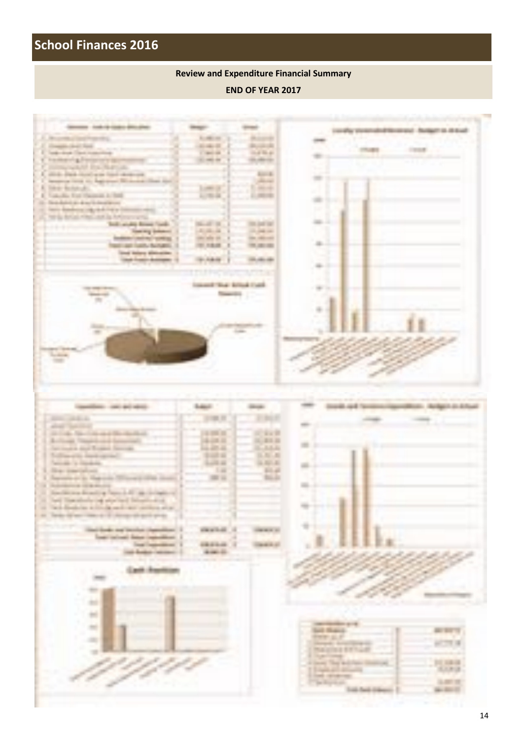## **School Finances 2016**

#### **Review and Expenditure Financial Summary**

#### **END OF YEAR 2017**